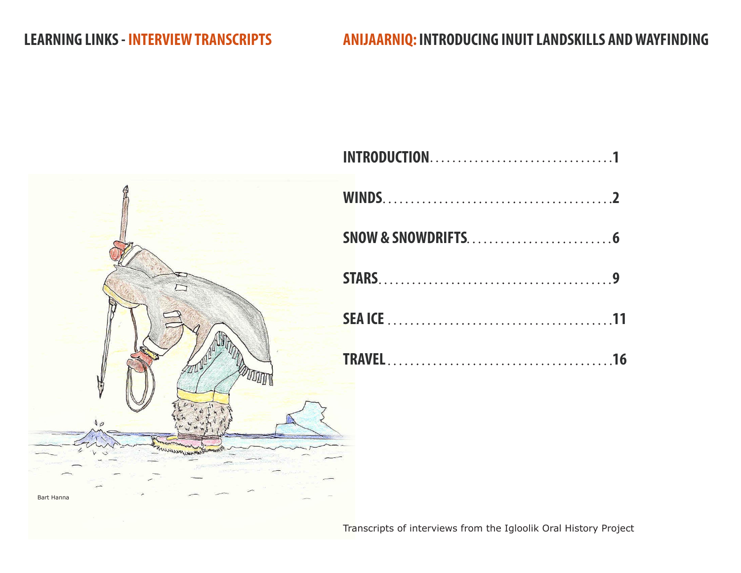# **LEARNING LINKS - INTERVIEW TRANSCRIPTS ANIJAARNIQ: INTRODUCING INUIT LANDSKILLS AND WAYFINDING**



Transcripts of interviews from the Igloolik Oral History Project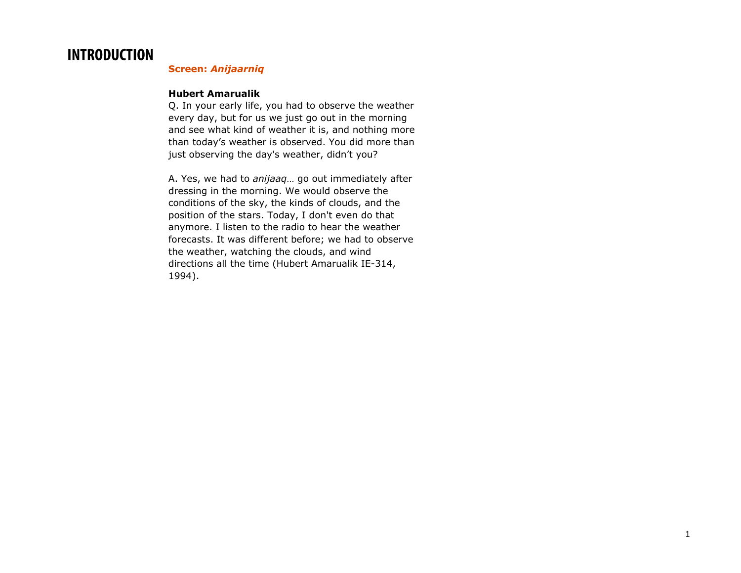# **INTRODUCTION**

### **Screen:** *Anijaarniq*

#### **Hubert Amarualik**

Q. In your early life, you had to observe the weather every day, but for us we just go out in the morning and see what kind of weather it is, and nothing more than today's weather is observed. You did more than just observing the day's weather, didn't you?

A. Yes, we had to *anijaaq*… go out immediately after dressing in the morning. We would observe the conditions of the sky, the kinds of clouds, and the position of the stars. Today, I don't even do that anymore. I listen to the radio to hear the weather forecasts. It was different before; we had to observe the weather, watching the clouds, and wind directions all the time (Hubert Amarualik IE-314, 1994).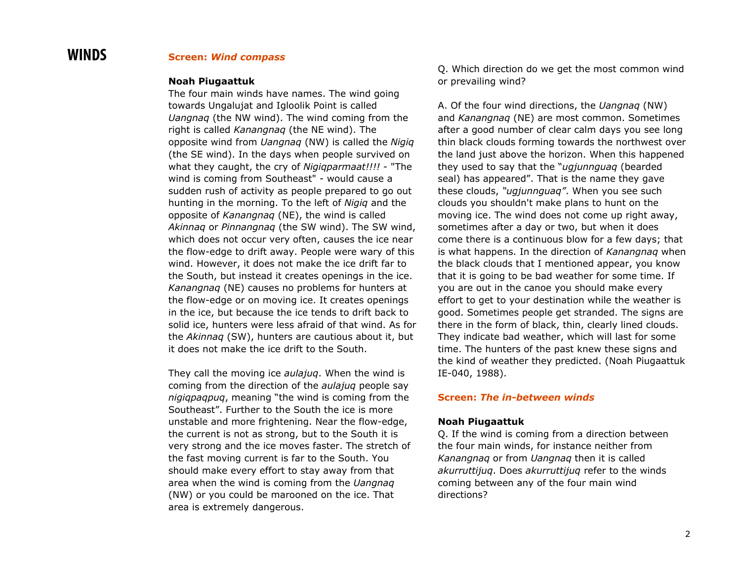### **WINDS Screen:** *Wind compass*

#### **Noah Piugaattuk**

The four main winds have names. The wind going towards Ungalujat and Igloolik Point is called *Uangnaq* (the NW wind). The wind coming from the right is called *Kanangnaq* (the NE wind). The opposite wind from *Uangnaq* (NW) is called the *Nigiq* (the SE wind). In the days when people survived on what they caught, the cry of *Nigiqparmaat!!!!* - "The wind is coming from Southeast" - would cause a sudden rush of activity as people prepared to go out hunting in the morning. To the left of *Nigiq* and the opposite of *Kanangnaq* (NE), the wind is called *Akinnaq* or *Pinnangnaq* (the SW wind). The SW wind, which does not occur very often, causes the ice near the flow-edge to drift away. People were wary of this wind. However, it does not make the ice drift far to the South, but instead it creates openings in the ice. *Kanangnaq* (NE) causes no problems for hunters at the flow-edge or on moving ice. It creates openings in the ice, but because the ice tends to drift back to solid ice, hunters were less afraid of that wind. As for the *Akinnaq* (SW), hunters are cautious about it, but it does not make the ice drift to the South.

They call the moving ice *aulajuq*. When the wind is coming from the direction of the *aulajuq* people say *nigiqpaqpuq*, meaning "the wind is coming from the Southeast". Further to the South the ice is more unstable and more frightening. Near the flow-edge, the current is not as strong, but to the South it is very strong and the ice moves faster. The stretch of the fast moving current is far to the South. You should make every effort to stay away from that area when the wind is coming from the *Uangnaq* (NW) or you could be marooned on the ice. That area is extremely dangerous.

Q. Which direction do we get the most common wind or prevailing wind?

A. Of the four wind directions, the *Uangnaq* (NW) and *Kanangnaq* (NE) are most common. Sometimes after a good number of clear calm days you see long thin black clouds forming towards the northwest over the land just above the horizon. When this happened they used to say that the "*ugjunnguaq* (bearded seal) has appeared". That is the name they gave these clouds, *"ugjunnguaq"*. When you see such clouds you shouldn't make plans to hunt on the moving ice. The wind does not come up right away, sometimes after a day or two, but when it does come there is a continuous blow for a few days; that is what happens. In the direction of *Kanangnaq* when the black clouds that I mentioned appear, you know that it is going to be bad weather for some time. If you are out in the canoe you should make every effort to get to your destination while the weather is good. Sometimes people get stranded. The signs are there in the form of black, thin, clearly lined clouds. They indicate bad weather, which will last for some time. The hunters of the past knew these signs and the kind of weather they predicted. (Noah Piugaattuk IE-040, 1988).

#### **Screen:** *The in-between winds*

#### **Noah Piugaattuk**

Q. If the wind is coming from a direction between the four main winds, for instance neither from *Kanangnaq* or from *Uangnaq* then it is called *akurruttijuq*. Does *akurruttijuq* refer to the winds coming between any of the four main wind directions?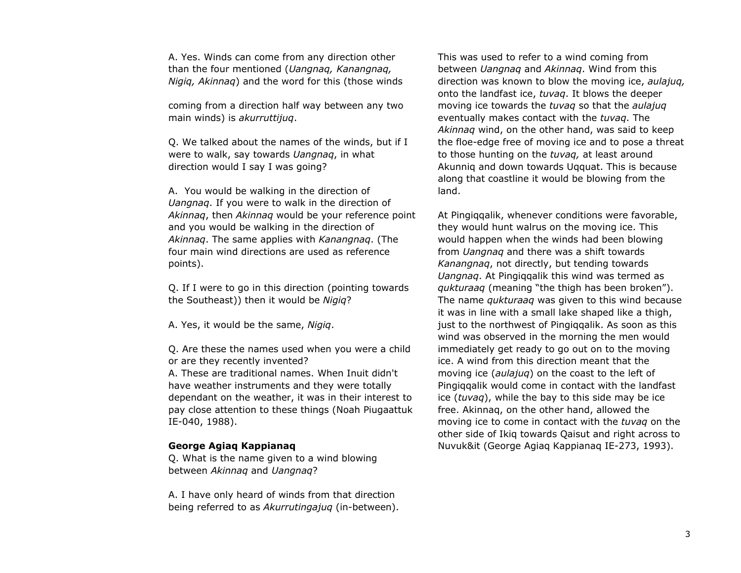A. Yes. Winds can come from any direction other than the four mentioned (*Uangnaq, Kanangnaq, Nigiq, Akinnaq*) and the word for this (those winds

coming from a direction half way between any two main winds) is *akurruttijuq*.

Q. We talked about the names of the winds, but if I were to walk, say towards *Uangnaq*, in what direction would I say I was going?

A. You would be walking in the direction of *Uangnaq*. If you were to walk in the direction of *Akinnaq*, then *Akinnaq* would be your reference point and you would be walking in the direction of *Akinnaq*. The same applies with *Kanangnaq*. (The four main wind directions are used as reference points).

Q. If I were to go in this direction (pointing towards the Southeast)) then it would be *Nigiq*?

A. Yes, it would be the same, *Nigiq*.

Q. Are these the names used when you were a child or are they recently invented?

A. These are traditional names. When Inuit didn't have weather instruments and they were totally dependant on the weather, it was in their interest to pay close attention to these things (Noah Piugaattuk IE-040, 1988).

#### **George Agiaq Kappianaq**

Q. What is the name given to a wind blowing between *Akinnaq* and *Uangnaq*?

A. I have only heard of winds from that direction being referred to as *Akurrutingajuq* (in-between). This was used to refer to a wind coming from between *Uangnaq* and *Akinnaq*. Wind from this direction was known to blow the moving ice, *aulajuq,* onto the landfast ice, *tuvaq*. It blows the deeper moving ice towards the *tuvaq* so that the *aulajuq* eventually makes contact with the *tuvaq*. The *Akinnaq* wind, on the other hand, was said to keep the floe-edge free of moving ice and to pose a threat to those hunting on the *tuvaq,* at least around Akunniq and down towards Uqquat. This is because along that coastline it would be blowing from the land.

At Pingiqqalik, whenever conditions were favorable, they would hunt walrus on the moving ice. This would happen when the winds had been blowing from *Uangnaq* and there was a shift towards *Kanangnaq*, not directly, but tending towards *Uangnaq*. At Pingiqqalik this wind was termed as *qukturaaq* (meaning "the thigh has been broken"). The name *qukturaaq* was given to this wind because it was in line with a small lake shaped like a thigh, just to the northwest of Pingiqqalik. As soon as this wind was observed in the morning the men would immediately get ready to go out on to the moving ice. A wind from this direction meant that the moving ice (*aulajuq*) on the coast to the left of Pingiqqalik would come in contact with the landfast ice (*tuvaq*), while the bay to this side may be ice free. Akinnaq, on the other hand, allowed the moving ice to come in contact with the *tuvaq* on the other side of Ikiq towards Qaisut and right across to Nuvuk&it (George Agiaq Kappianaq IE-273, 1993).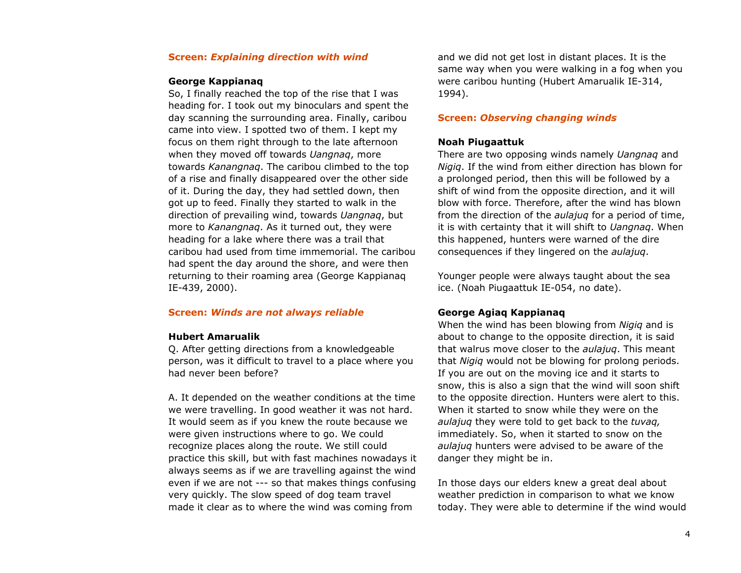#### **Screen:** *Explaining direction with wind*

#### **George Kappianaq**

So, I finally reached the top of the rise that I was heading for. I took out my binoculars and spent the day scanning the surrounding area. Finally, caribou came into view. I spotted two of them. I kept my focus on them right through to the late afternoon when they moved off towards *Uangnaq*, more towards *Kanangnaq*. The caribou climbed to the top of a rise and finally disappeared over the other side of it. During the day, they had settled down, then got up to feed. Finally they started to walk in the direction of prevailing wind, towards *Uangnaq*, but more to *Kanangnaq*. As it turned out, they were heading for a lake where there was a trail that caribou had used from time immemorial. The caribou had spent the day around the shore, and were then returning to their roaming area (George Kappianaq IE-439, 2000).

#### **Screen:** *Winds are not always reliable*

#### **Hubert Amarualik**

Q. After getting directions from a knowledgeable person, was it difficult to travel to a place where you had never been before?

A. It depended on the weather conditions at the time we were travelling. In good weather it was not hard. It would seem as if you knew the route because we were given instructions where to go. We could recognize places along the route. We still could practice this skill, but with fast machines nowadays it always seems as if we are travelling against the wind even if we are not --- so that makes things confusing very quickly. The slow speed of dog team travel made it clear as to where the wind was coming from

and we did not get lost in distant places. It is the same way when you were walking in a fog when you were caribou hunting (Hubert Amarualik IE-314, 1994).

#### **Screen:** *Observing changing winds*

#### **Noah Piugaattuk**

There are two opposing winds namely *Uangnaq* and *Nigiq*. If the wind from either direction has blown for a prolonged period, then this will be followed by a shift of wind from the opposite direction, and it will blow with force. Therefore, after the wind has blown from the direction of the *aulajuq* for a period of time, it is with certainty that it will shift to *Uangnaq*. When this happened, hunters were warned of the dire consequences if they lingered on the *aulajuq*.

Younger people were always taught about the sea ice. (Noah Piugaattuk IE-054, no date).

#### **George Agiaq Kappianaq**

When the wind has been blowing from *Nigiq* and is about to change to the opposite direction, it is said that walrus move closer to the *aulajuq*. This meant that *Nigiq* would not be blowing for prolong periods. If you are out on the moving ice and it starts to snow, this is also a sign that the wind will soon shift to the opposite direction. Hunters were alert to this. When it started to snow while they were on the *aulajuq* they were told to get back to the *tuvaq,* immediately. So, when it started to snow on the *aulajuq* hunters were advised to be aware of the danger they might be in.

In those days our elders knew a great deal about weather prediction in comparison to what we know today. They were able to determine if the wind would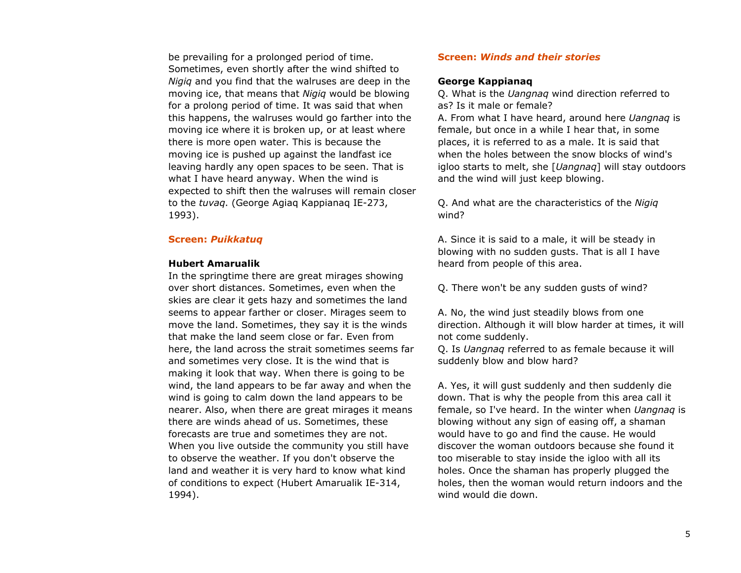be prevailing for a prolonged period of time. Sometimes, even shortly after the wind shifted to *Nigiq* and you find that the walruses are deep in the moving ice, that means that *Nigiq* would be blowing for a prolong period of time. It was said that when this happens, the walruses would go farther into the moving ice where it is broken up, or at least where there is more open water. This is because the moving ice is pushed up against the landfast ice leaving hardly any open spaces to be seen. That is what I have heard anyway. When the wind is expected to shift then the walruses will remain closer to the *tuvaq*. (George Agiaq Kappianaq IE-273, 1993).

#### **Screen:** *Puikkatuq*

#### **Hubert Amarualik**

In the springtime there are great mirages showing over short distances. Sometimes, even when the skies are clear it gets hazy and sometimes the land seems to appear farther or closer. Mirages seem to move the land. Sometimes, they say it is the winds that make the land seem close or far. Even from here, the land across the strait sometimes seems far and sometimes very close. It is the wind that is making it look that way. When there is going to be wind, the land appears to be far away and when the wind is going to calm down the land appears to be nearer. Also, when there are great mirages it means there are winds ahead of us. Sometimes, these forecasts are true and sometimes they are not. When you live outside the community you still have to observe the weather. If you don't observe the land and weather it is very hard to know what kind of conditions to expect (Hubert Amarualik IE-314, 1994).

#### **Screen:** *Winds and their stories*

#### **George Kappianaq**

Q. What is the *Uangnaq* wind direction referred to as? Is it male or female?

A. From what I have heard, around here *Uangnaq* is female, but once in a while I hear that, in some places, it is referred to as a male. It is said that when the holes between the snow blocks of wind's igloo starts to melt, she [*Uangnaq*] will stay outdoors and the wind will just keep blowing.

Q. And what are the characteristics of the *Nigiq* wind?

A. Since it is said to a male, it will be steady in blowing with no sudden gusts. That is all I have heard from people of this area.

Q. There won't be any sudden gusts of wind?

A. No, the wind just steadily blows from one direction. Although it will blow harder at times, it will not come suddenly.

Q. Is *Uangnaq* referred to as female because it will suddenly blow and blow hard?

A. Yes, it will gust suddenly and then suddenly die down. That is why the people from this area call it female, so I've heard. In the winter when *Uangnaq* is blowing without any sign of easing off, a shaman would have to go and find the cause. He would discover the woman outdoors because she found it too miserable to stay inside the igloo with all its holes. Once the shaman has properly plugged the holes, then the woman would return indoors and the wind would die down.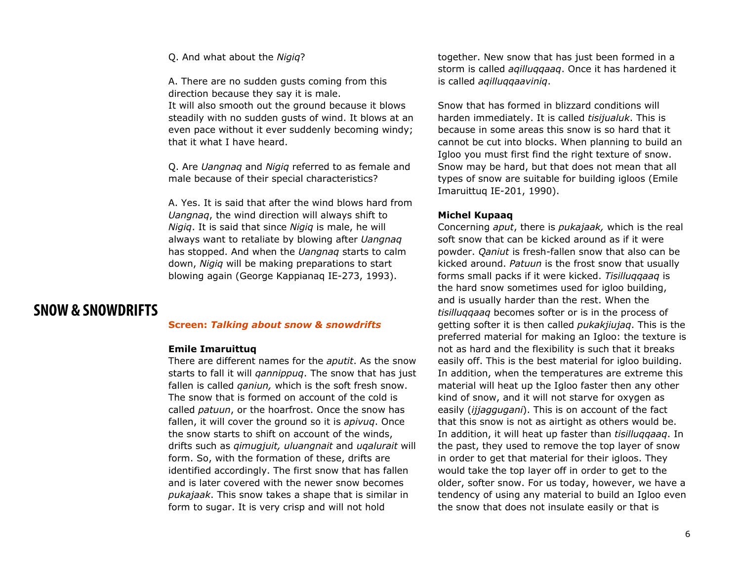#### Q. And what about the *Nigiq*?

A. There are no sudden gusts coming from this direction because they say it is male. It will also smooth out the ground because it blows steadily with no sudden gusts of wind. It blows at an even pace without it ever suddenly becoming windy; that it what I have heard.

Q. Are *Uangnaq* and *Nigiq* referred to as female and male because of their special characteristics?

A. Yes. It is said that after the wind blows hard from *Uangnaq*, the wind direction will always shift to *Nigiq*. It is said that since *Nigiq* is male, he will always want to retaliate by blowing after *Uangnaq* has stopped. And when the *Uangnaq* starts to calm down, *Nigiq* will be making preparations to start blowing again (George Kappianaq IE-273, 1993).

## **SNOW & SNOWDRIFTS**

#### **Screen:** *Talking about snow & snowdrifts*

#### **Emile Imaruittuq**

There are different names for the *aputit*. As the snow starts to fall it will *qannippuq*. The snow that has just fallen is called *qaniun,* which is the soft fresh snow. The snow that is formed on account of the cold is called *patuun*, or the hoarfrost. Once the snow has fallen, it will cover the ground so it is *apivuq*. Once the snow starts to shift on account of the winds, drifts such as *qimugjuit, uluangnait* and *uqalurait* will form. So, with the formation of these, drifts are identified accordingly. The first snow that has fallen and is later covered with the newer snow becomes *pukajaak*. This snow takes a shape that is similar in form to sugar. It is very crisp and will not hold

together. New snow that has just been formed in a storm is called *aqilluqqaaq*. Once it has hardened it is called *aqilluqqaaviniq*.

Snow that has formed in blizzard conditions will harden immediately. It is called *tisijualuk*. This is because in some areas this snow is so hard that it cannot be cut into blocks. When planning to build an Igloo you must first find the right texture of snow. Snow may be hard, but that does not mean that all types of snow are suitable for building igloos (Emile Imaruittuq IE-201, 1990).

#### **Michel Kupaaq**

Concerning *aput*, there is *pukajaak,* which is the real soft snow that can be kicked around as if it were powder. *Qaniut* is fresh-fallen snow that also can be kicked around. *Patuun* is the frost snow that usually forms small packs if it were kicked. *Tisilluqqaaq* is the hard snow sometimes used for igloo building, and is usually harder than the rest. When the *tisilluqqaaq* becomes softer or is in the process of getting softer it is then called *pukakjiujaq*. This is the preferred material for making an Igloo: the texture is not as hard and the flexibility is such that it breaks easily off. This is the best material for igloo building. In addition, when the temperatures are extreme this material will heat up the Igloo faster then any other kind of snow, and it will not starve for oxygen as easily (*ijjaggugani*). This is on account of the fact that this snow is not as airtight as others would be. In addition, it will heat up faster than *tisilluqqaaq*. In the past, they used to remove the top layer of snow in order to get that material for their igloos. They would take the top layer off in order to get to the older, softer snow. For us today, however, we have a tendency of using any material to build an Igloo even the snow that does not insulate easily or that is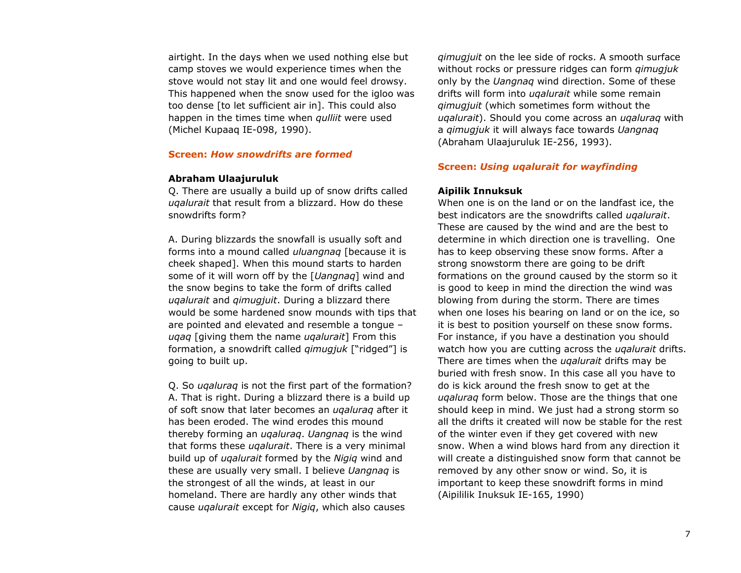airtight. In the days when we used nothing else but camp stoves we would experience times when the stove would not stay lit and one would feel drowsy. This happened when the snow used for the igloo was too dense [to let sufficient air in]. This could also happen in the times time when *qulliit* were used (Michel Kupaaq IE-098, 1990).

#### **Screen:** *How snowdrifts are formed*

#### **Abraham Ulaajuruluk**

Q. There are usually a build up of snow drifts called *uqalurait* that result from a blizzard. How do these snowdrifts form?

A. During blizzards the snowfall is usually soft and forms into a mound called *uluangnaq* [because it is cheek shaped]. When this mound starts to harden some of it will worn off by the [*Uangnaq*] wind and the snow begins to take the form of drifts called *uqalurait* and *qimugjuit*. During a blizzard there would be some hardened snow mounds with tips that are pointed and elevated and resemble a tongue – *uqaq* [giving them the name *uqalurait*] From this formation, a snowdrift called *qimugjuk* ["ridged"] is going to built up.

Q. So *uqaluraq* is not the first part of the formation? A. That is right. During a blizzard there is a build up of soft snow that later becomes an *uqaluraq* after it has been eroded. The wind erodes this mound thereby forming an *uqaluraq*. *Uangnaq* is the wind that forms these *uqalurait*. There is a very minimal build up of *uqalurait* formed by the *Nigiq* wind and these are usually very small. I believe *Uangnaq* is the strongest of all the winds, at least in our homeland. There are hardly any other winds that cause *uqalurait* except for *Nigiq*, which also causes

*qimugjuit* on the lee side of rocks. A smooth surface without rocks or pressure ridges can form *qimugjuk* only by the *Uangnaq* wind direction. Some of these drifts will form into *uqalurait* while some remain *qimugjuit* (which sometimes form without the *uqalurait*). Should you come across an *uqaluraq* with a *qimugjuk* it will always face towards *Uangnaq* (Abraham Ulaajuruluk IE-256, 1993).

#### **Screen:** *Using uqalurait for wayfinding*

#### **Aipilik Innuksuk**

When one is on the land or on the landfast ice, the best indicators are the snowdrifts called *uqalurait*. These are caused by the wind and are the best to determine in which direction one is travelling. One has to keep observing these snow forms. After a strong snowstorm there are going to be drift formations on the ground caused by the storm so it is good to keep in mind the direction the wind was blowing from during the storm. There are times when one loses his bearing on land or on the ice, so it is best to position yourself on these snow forms. For instance, if you have a destination you should watch how you are cutting across the *uqalurait* drifts. There are times when the *uqalurait* drifts may be buried with fresh snow. In this case all you have to do is kick around the fresh snow to get at the *uqaluraq* form below. Those are the things that one should keep in mind. We just had a strong storm so all the drifts it created will now be stable for the rest of the winter even if they get covered with new snow. When a wind blows hard from any direction it will create a distinguished snow form that cannot be removed by any other snow or wind. So, it is important to keep these snowdrift forms in mind (Aipililik Inuksuk IE-165, 1990)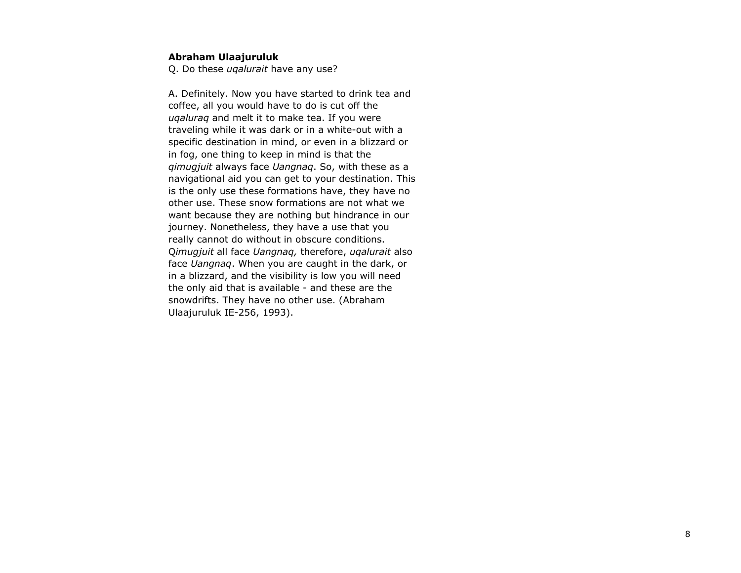#### **Abraham Ulaajuruluk**

Q. Do these *uqalurait* have any use?

A. Definitely. Now you have started to drink tea and coffee, all you would have to do is cut off the *uqaluraq* and melt it to make tea. If you were traveling while it was dark or in a white-out with a specific destination in mind, or even in a blizzard or in fog, one thing to keep in mind is that the *qimugjuit* always face *Uangnaq*. So, with these as a navigational aid you can get to your destination. This is the only use these formations have, they have no other use. These snow formations are not what we want because they are nothing but hindrance in our journey. Nonetheless, they have a use that you really cannot do without in obscure conditions. Q*imugjuit* all face *Uangnaq,* therefore, *uqalurait* also face *Uangnaq*. When you are caught in the dark, or in a blizzard, and the visibility is low you will need the only aid that is available - and these are the snowdrifts. They have no other use. (Abraham Ulaajuruluk IE-256, 1993).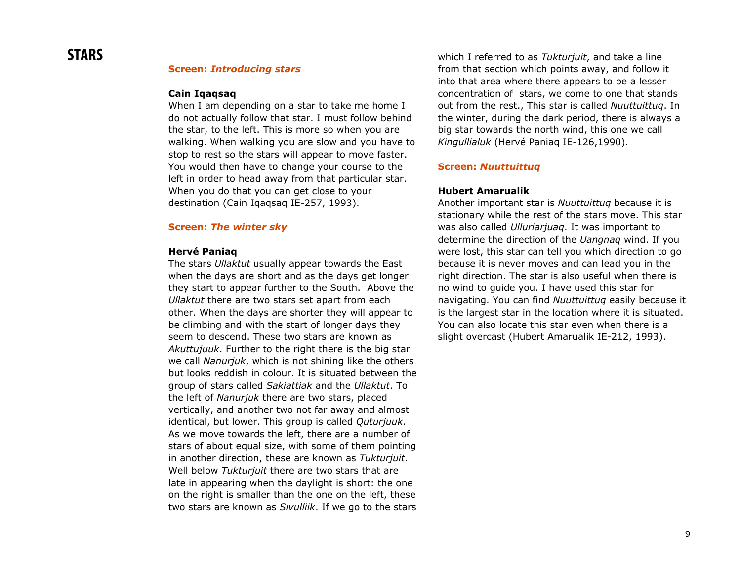#### **Screen:** *Introducing stars*

#### **Cain Iqaqsaq**

When I am depending on a star to take me home I do not actually follow that star. I must follow behind the star, to the left. This is more so when you are walking. When walking you are slow and you have to stop to rest so the stars will appear to move faster. You would then have to change your course to the left in order to head away from that particular star. When you do that you can get close to your destination (Cain Iqaqsaq IE-257, 1993).

#### **Screen:** *The winter sky*

#### **Hervé Paniaq**

The stars *Ullaktut* usually appear towards the East when the days are short and as the days get longer they start to appear further to the South. Above the *Ullaktut* there are two stars set apart from each other. When the days are shorter they will appear to be climbing and with the start of longer days they seem to descend. These two stars are known as *Akuttujuuk*. Further to the right there is the big star we call *Nanurjuk*, which is not shining like the others but looks reddish in colour. It is situated between the group of stars called *Sakiattiak* and the *Ullaktut*. To the left of *Nanurjuk* there are two stars, placed vertically, and another two not far away and almost identical, but lower. This group is called *Quturjuuk*. As we move towards the left, there are a number of stars of about equal size, with some of them pointing in another direction, these are known as *Tukturjuit*. Well below *Tukturjuit* there are two stars that are late in appearing when the daylight is short: the one on the right is smaller than the one on the left, these two stars are known as *Sivulliik*. If we go to the stars which I referred to as *Tukturjuit*, and take a line from that section which points away, and follow it into that area where there appears to be a lesser concentration of stars, we come to one that stands out from the rest., This star is called *Nuuttuittuq*. In the winter, during the dark period, there is always a big star towards the north wind, this one we call *Kingullialuk* (Hervé Paniaq IE-126,1990).

#### **Screen:** *Nuuttuittuq*

#### **Hubert Amarualik**

Another important star is *Nuuttuittuq* because it is stationary while the rest of the stars move. This star was also called *Ulluriarjuaq*. It was important to determine the direction of the *Uangnaq* wind. If you were lost, this star can tell you which direction to go because it is never moves and can lead you in the right direction. The star is also useful when there is no wind to guide you. I have used this star for navigating. You can find *Nuuttuittuq* easily because it is the largest star in the location where it is situated. You can also locate this star even when there is a slight overcast (Hubert Amarualik IE-212, 1993).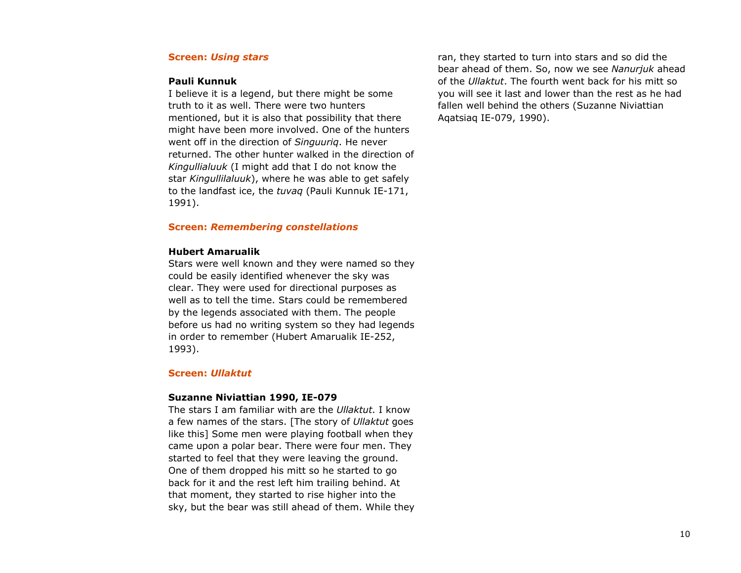#### **Screen:** *Using stars*

#### **Pauli Kunnuk**

I believe it is a legend, but there might be some truth to it as well. There were two hunters mentioned, but it is also that possibility that there might have been more involved. One of the hunters went off in the direction of *Singuuriq*. He never returned. The other hunter walked in the direction of *Kingullialuuk* (I might add that I do not know the star *Kingullilaluuk*), where he was able to get safely to the landfast ice, the *tuvaq* (Pauli Kunnuk IE-171, 1991).

#### **Screen:** *Remembering constellations*

#### **Hubert Amarualik**

Stars were well known and they were named so they could be easily identified whenever the sky was clear. They were used for directional purposes as well as to tell the time. Stars could be remembered by the legends associated with them. The people before us had no writing system so they had legends in order to remember (Hubert Amarualik IE-252, 1993).

#### **Screen:** *Ullaktut*

#### **Suzanne Niviattian 1990, IE-079**

The stars I am familiar with are the *Ullaktut*. I know a few names of the stars. [The story of *Ullaktut* goes like this] Some men were playing football when they came upon a polar bear. There were four men. They started to feel that they were leaving the ground. One of them dropped his mitt so he started to go back for it and the rest left him trailing behind. At that moment, they started to rise higher into the sky, but the bear was still ahead of them. While they

ran, they started to turn into stars and so did the bear ahead of them. So, now we see *Nanurjuk* ahead of the *Ullaktut*. The fourth went back for his mitt so you will see it last and lower than the rest as he had fallen well behind the others (Suzanne Niviattian Aqatsiaq IE-079, 1990).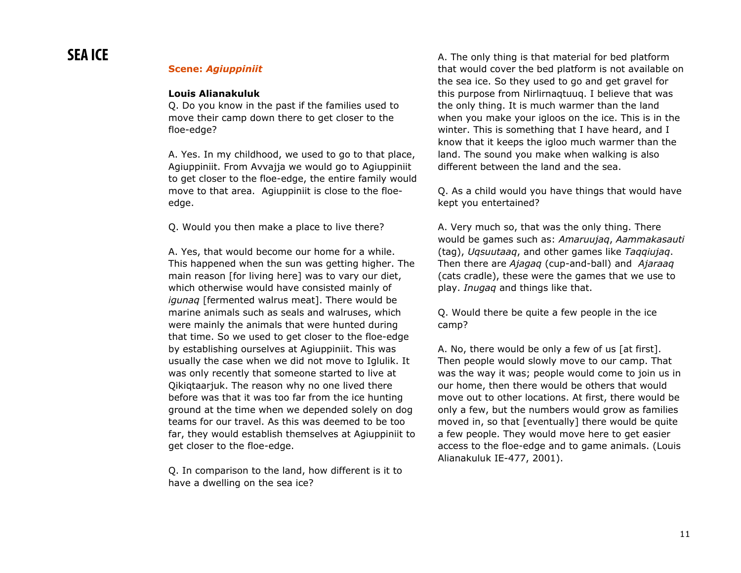#### **Scene:** *Agiuppiniit*

#### **Louis Alianakuluk**

Q. Do you know in the past if the families used to move their camp down there to get closer to the floe-edge?

A. Yes. In my childhood, we used to go to that place, Agiuppiniit. From Avvajja we would go to Agiuppiniit to get closer to the floe-edge, the entire family would move to that area. Agiuppiniit is close to the floeedge.

Q. Would you then make a place to live there?

A. Yes, that would become our home for a while. This happened when the sun was getting higher. The main reason [for living here] was to vary our diet, which otherwise would have consisted mainly of *igunaq* [fermented walrus meat]. There would be marine animals such as seals and walruses, which were mainly the animals that were hunted during that time. So we used to get closer to the floe-edge by establishing ourselves at Agiuppiniit. This was usually the case when we did not move to Iglulik. It was only recently that someone started to live at Qikiqtaarjuk. The reason why no one lived there before was that it was too far from the ice hunting ground at the time when we depended solely on dog teams for our travel. As this was deemed to be too far, they would establish themselves at Agiuppiniit to get closer to the floe-edge.

Q. In comparison to the land, how different is it to have a dwelling on the sea ice?

A. The only thing is that material for bed platform that would cover the bed platform is not available on the sea ice. So they used to go and get gravel for this purpose from Nirlirnaqtuuq. I believe that was the only thing. It is much warmer than the land when you make your igloos on the ice. This is in the winter. This is something that I have heard, and I know that it keeps the igloo much warmer than the land. The sound you make when walking is also different between the land and the sea.

Q. As a child would you have things that would have kept you entertained?

A. Very much so, that was the only thing. There would be games such as: *Amaruujaq*, *Aammakasauti* (tag), *Uqsuutaaq*, and other games like *Taqqiujaq*. Then there are *Ajagaq* (cup-and-ball) and *Ajaraaq* (cats cradle), these were the games that we use to play. *Inugaq* and things like that.

Q. Would there be quite a few people in the ice camp?

A. No, there would be only a few of us [at first]. Then people would slowly move to our camp. That was the way it was; people would come to join us in our home, then there would be others that would move out to other locations. At first, there would be only a few, but the numbers would grow as families moved in, so that [eventually] there would be quite a few people. They would move here to get easier access to the floe-edge and to game animals. (Louis Alianakuluk IE-477, 2001).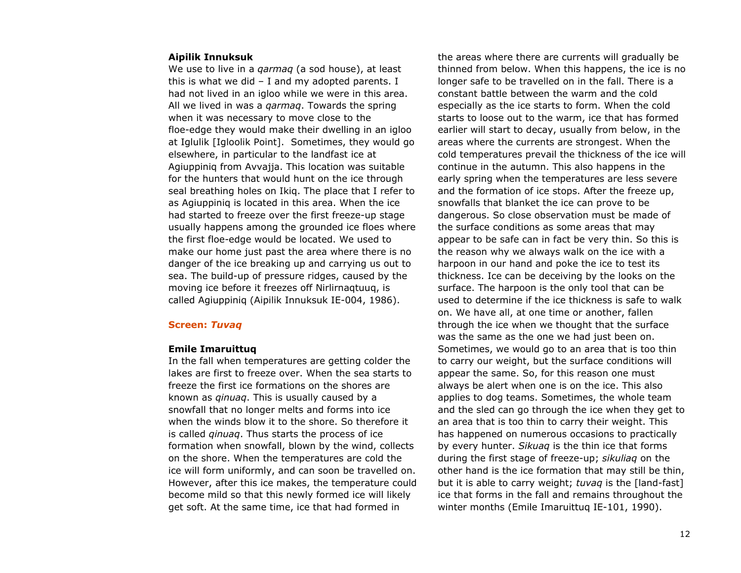#### **Aipilik Innuksuk**

We use to live in a *qarmaq* (a sod house), at least this is what we did  $-$  I and my adopted parents. I had not lived in an igloo while we were in this area. All we lived in was a *qarmaq*. Towards the spring when it was necessary to move close to the floe-edge they would make their dwelling in an igloo at Iglulik [Igloolik Point]. Sometimes, they would go elsewhere, in particular to the landfast ice at Agiuppiniq from Avvajja. This location was suitable for the hunters that would hunt on the ice through seal breathing holes on Ikiq. The place that I refer to as Agiuppiniq is located in this area. When the ice had started to freeze over the first freeze-up stage usually happens among the grounded ice floes where the first floe-edge would be located. We used to make our home just past the area where there is no danger of the ice breaking up and carrying us out to sea. The build-up of pressure ridges, caused by the moving ice before it freezes off Nirlirnaqtuuq, is called Agiuppiniq (Aipilik Innuksuk IE-004, 1986).

### **Screen:** *Tuvaq*

#### **Emile Imaruittuq**

In the fall when temperatures are getting colder the lakes are first to freeze over. When the sea starts to freeze the first ice formations on the shores are known as *qinuaq*. This is usually caused by a snowfall that no longer melts and forms into ice when the winds blow it to the shore. So therefore it is called *qinuaq*. Thus starts the process of ice formation when snowfall, blown by the wind, collects on the shore. When the temperatures are cold the ice will form uniformly, and can soon be travelled on. However, after this ice makes, the temperature could become mild so that this newly formed ice will likely get soft. At the same time, ice that had formed in

the areas where there are currents will gradually be thinned from below. When this happens, the ice is no longer safe to be travelled on in the fall. There is a constant battle between the warm and the cold especially as the ice starts to form. When the cold starts to loose out to the warm, ice that has formed earlier will start to decay, usually from below, in the areas where the currents are strongest. When the cold temperatures prevail the thickness of the ice will continue in the autumn. This also happens in the early spring when the temperatures are less severe and the formation of ice stops. After the freeze up, snowfalls that blanket the ice can prove to be dangerous. So close observation must be made of the surface conditions as some areas that may appear to be safe can in fact be very thin. So this is the reason why we always walk on the ice with a harpoon in our hand and poke the ice to test its thickness. Ice can be deceiving by the looks on the surface. The harpoon is the only tool that can be used to determine if the ice thickness is safe to walk on. We have all, at one time or another, fallen through the ice when we thought that the surface was the same as the one we had just been on. Sometimes, we would go to an area that is too thin to carry our weight, but the surface conditions will appear the same. So, for this reason one must always be alert when one is on the ice. This also applies to dog teams. Sometimes, the whole team and the sled can go through the ice when they get to an area that is too thin to carry their weight. This has happened on numerous occasions to practically by every hunter. *Sikuaq* is the thin ice that forms during the first stage of freeze-up; *sikuliaq* on the other hand is the ice formation that may still be thin, but it is able to carry weight; *tuvaq* is the [land-fast] ice that forms in the fall and remains throughout the winter months (Emile Imaruittuq IE-101, 1990).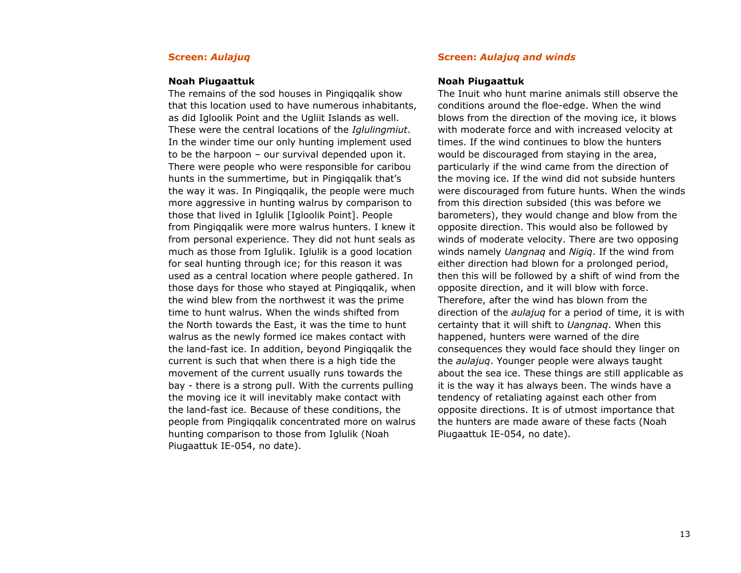#### **Screen:** *Aulajuq*

#### **Noah Piugaattuk**

The remains of the sod houses in Pingiqqalik show that this location used to have numerous inhabitants, as did Igloolik Point and the Ugliit Islands as well. These were the central locations of the *Iglulingmiut*. In the winder time our only hunting implement used to be the harpoon – our survival depended upon it. There were people who were responsible for caribou hunts in the summertime, but in Pingiqqalik that's the way it was. In Pingiqqalik, the people were much more aggressive in hunting walrus by comparison to those that lived in Iglulik [Igloolik Point]. People from Pingiqqalik were more walrus hunters. I knew it from personal experience. They did not hunt seals as much as those from Iglulik. Iglulik is a good location for seal hunting through ice; for this reason it was used as a central location where people gathered. In those days for those who stayed at Pingiqqalik, when the wind blew from the northwest it was the prime time to hunt walrus. When the winds shifted from the North towards the East, it was the time to hunt walrus as the newly formed ice makes contact with the land-fast ice. In addition, beyond Pingiqqalik the current is such that when there is a high tide the movement of the current usually runs towards the bay - there is a strong pull. With the currents pulling the moving ice it will inevitably make contact with the land-fast ice. Because of these conditions, the people from Pingiqqalik concentrated more on walrus hunting comparison to those from Iglulik (Noah Piugaattuk IE-054, no date).

#### **Screen:** *Aulajuq and winds*

#### **Noah Piugaattuk**

The Inuit who hunt marine animals still observe the conditions around the floe-edge. When the wind blows from the direction of the moving ice, it blows with moderate force and with increased velocity at times. If the wind continues to blow the hunters would be discouraged from staying in the area, particularly if the wind came from the direction of the moving ice. If the wind did not subside hunters were discouraged from future hunts. When the winds from this direction subsided (this was before we barometers), they would change and blow from the opposite direction. This would also be followed by winds of moderate velocity. There are two opposing winds namely *Uangnaq* and *Nigiq*. If the wind from either direction had blown for a prolonged period, then this will be followed by a shift of wind from the opposite direction, and it will blow with force. Therefore, after the wind has blown from the direction of the *aulajuq* for a period of time, it is with certainty that it will shift to *Uangnaq*. When this happened, hunters were warned of the dire consequences they would face should they linger on the *aulajuq*. Younger people were always taught about the sea ice. These things are still applicable as it is the way it has always been. The winds have a tendency of retaliating against each other from opposite directions. It is of utmost importance that the hunters are made aware of these facts (Noah Piugaattuk IE-054, no date).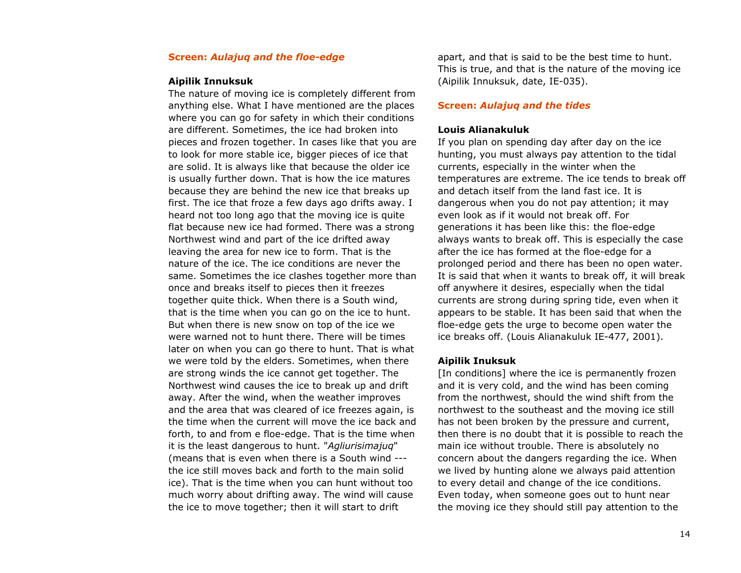#### **Screen:** *Aulajuq and the floe-edge*

#### **Aipilik Innuksuk**

The nature of moving ice is completely different from anything else. What I have mentioned are the places where you can go for safety in which their conditions are different. Sometimes, the ice had broken into pieces and frozen together. In cases like that you are to look for more stable ice, bigger pieces of ice that are solid. It is always like that because the older ice is usually further down. That is how the ice matures because they are behind the new ice that breaks up first. The ice that froze a few days ago drifts away. I heard not too long ago that the moving ice is quite flat because new ice had formed. There was a strong Northwest wind and part of the ice drifted away leaving the area for new ice to form. That is the nature of the ice. The ice conditions are never the same. Sometimes the ice clashes together more than once and breaks itself to pieces then it freezes together quite thick. When there is a South wind, that is the time when you can go on the ice to hunt. But when there is new snow on top of the ice we were warned not to hunt there. There will be times later on when you can go there to hunt. That is what we were told by the elders. Sometimes, when there are strong winds the ice cannot get together. The Northwest wind causes the ice to break up and drift away. After the wind, when the weather improves and the area that was cleared of ice freezes again, is the time when the current will move the ice back and forth, to and from e floe-edge. That is the time when it is the least dangerous to hunt. "*Agliurisimajuq*" (means that is even when there is a South wind -- the ice still moves back and forth to the main solid ice). That is the time when you can hunt without too much worry about drifting away. The wind will cause the ice to move together; then it will start to drift

apart, and that is said to be the best time to hunt. This is true, and that is the nature of the moving ice (Aipilik Innuksuk, date, IE-035).

#### **Screen:** *Aulajuq and the tides*

#### **Louis Alianakuluk**

If you plan on spending day after day on the ice hunting, you must always pay attention to the tidal currents, especially in the winter when the temperatures are extreme. The ice tends to break off and detach itself from the land fast ice. It is dangerous when you do not pay attention; it may even look as if it would not break off. For generations it has been like this: the floe-edge always wants to break off. This is especially the case after the ice has formed at the floe-edge for a prolonged period and there has been no open water. It is said that when it wants to break off, it will break off anywhere it desires, especially when the tidal currents are strong during spring tide, even when it appears to be stable. It has been said that when the floe-edge gets the urge to become open water the ice breaks off. (Louis Alianakuluk IE-477, 2001).

#### **Aipilik Inuksuk**

[In conditions] where the ice is permanently frozen and it is very cold, and the wind has been coming from the northwest, should the wind shift from the northwest to the southeast and the moving ice still has not been broken by the pressure and current, then there is no doubt that it is possible to reach the main ice without trouble. There is absolutely no concern about the dangers regarding the ice. When we lived by hunting alone we always paid attention to every detail and change of the ice conditions. Even today, when someone goes out to hunt near the moving ice they should still pay attention to the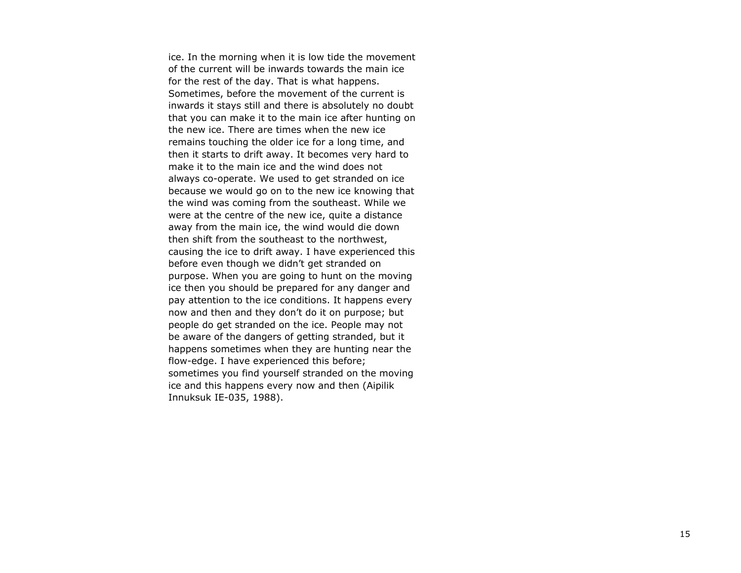ice. In the morning when it is low tide the movement of the current will be inwards towards the main ice for the rest of the day. That is what happens. Sometimes, before the movement of the current is inwards it stays still and there is absolutely no doubt that you can make it to the main ice after hunting on the new ice. There are times when the new ice remains touching the older ice for a long time, and then it starts to drift away. It becomes very hard to make it to the main ice and the wind does not always co-operate. We used to get stranded on ice because we would go on to the new ice knowing that the wind was coming from the southeast. While we were at the centre of the new ice, quite a distance away from the main ice, the wind would die down then shift from the southeast to the northwest, causing the ice to drift away. I have experienced this before even though we didn't get stranded on purpose. When you are going to hunt on the moving ice then you should be prepared for any danger and pay attention to the ice conditions. It happens every now and then and they don't do it on purpose; but people do get stranded on the ice. People may not be aware of the dangers of getting stranded, but it happens sometimes when they are hunting near the flow-edge. I have experienced this before; sometimes you find yourself stranded on the moving ice and this happens every now and then (Aipilik Innuksuk IE-035, 1988).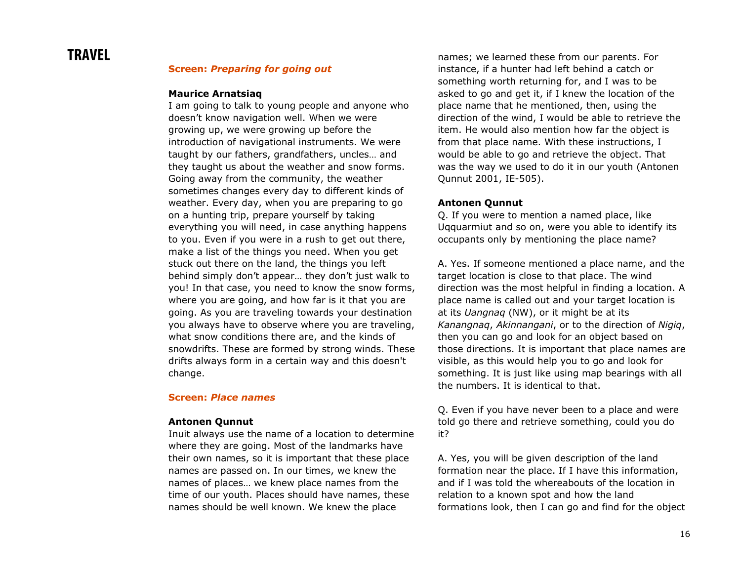# **TRAVEL**

#### **Screen:** *Preparing for going out*

#### **Maurice Arnatsiaq**

I am going to talk to young people and anyone who doesn't know navigation well. When we were growing up, we were growing up before the introduction of navigational instruments. We were taught by our fathers, grandfathers, uncles… and they taught us about the weather and snow forms. Going away from the community, the weather sometimes changes every day to different kinds of weather. Every day, when you are preparing to go on a hunting trip, prepare yourself by taking everything you will need, in case anything happens to you. Even if you were in a rush to get out there, make a list of the things you need. When you get stuck out there on the land, the things you left behind simply don't appear… they don't just walk to you! In that case, you need to know the snow forms, where you are going, and how far is it that you are going. As you are traveling towards your destination you always have to observe where you are traveling, what snow conditions there are, and the kinds of snowdrifts. These are formed by strong winds. These drifts always form in a certain way and this doesn't change.

#### **Screen:** *Place names*

#### **Antonen Qunnut**

Inuit always use the name of a location to determine where they are going. Most of the landmarks have their own names, so it is important that these place names are passed on. In our times, we knew the names of places… we knew place names from the time of our youth. Places should have names, these names should be well known. We knew the place

names; we learned these from our parents. For instance, if a hunter had left behind a catch or something worth returning for, and I was to be asked to go and get it, if I knew the location of the place name that he mentioned, then, using the direction of the wind, I would be able to retrieve the item. He would also mention how far the object is from that place name. With these instructions, I would be able to go and retrieve the object. That was the way we used to do it in our youth (Antonen Qunnut 2001, IE-505).

#### **Antonen Qunnut**

Q. If you were to mention a named place, like Uqquarmiut and so on, were you able to identify its occupants only by mentioning the place name?

A. Yes. If someone mentioned a place name, and the target location is close to that place. The wind direction was the most helpful in finding a location. A place name is called out and your target location is at its *Uangnaq* (NW), or it might be at its *Kanangnaq*, *Akinnangani*, or to the direction of *Nigiq*, then you can go and look for an object based on those directions. It is important that place names are visible, as this would help you to go and look for something. It is just like using map bearings with all the numbers. It is identical to that.

Q. Even if you have never been to a place and were told go there and retrieve something, could you do it?

A. Yes, you will be given description of the land formation near the place. If I have this information, and if I was told the whereabouts of the location in relation to a known spot and how the land formations look, then I can go and find for the object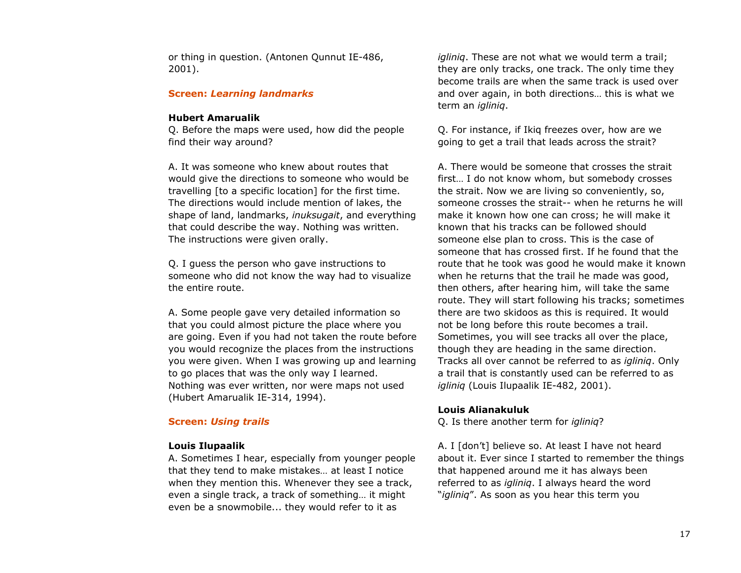or thing in question. (Antonen Qunnut IE-486, 2001).

#### **Screen:** *Learning landmarks*

#### **Hubert Amarualik**

Q. Before the maps were used, how did the people find their way around?

A. It was someone who knew about routes that would give the directions to someone who would be travelling [to a specific location] for the first time. The directions would include mention of lakes, the shape of land, landmarks, *inuksugait*, and everything that could describe the way. Nothing was written. The instructions were given orally.

Q. I guess the person who gave instructions to someone who did not know the way had to visualize the entire route.

A. Some people gave very detailed information so that you could almost picture the place where you are going. Even if you had not taken the route before you would recognize the places from the instructions you were given. When I was growing up and learning to go places that was the only way I learned. Nothing was ever written, nor were maps not used (Hubert Amarualik IE-314, 1994).

#### **Screen:** *Using trails*

#### **Louis Ilupaalik**

A. Sometimes I hear, especially from younger people that they tend to make mistakes… at least I notice when they mention this. Whenever they see a track, even a single track, a track of something… it might even be a snowmobile... they would refer to it as

*igliniq*. These are not what we would term a trail; they are only tracks, one track. The only time they become trails are when the same track is used over and over again, in both directions… this is what we term an *igliniq*.

Q. For instance, if Ikiq freezes over, how are we going to get a trail that leads across the strait?

A. There would be someone that crosses the strait first… I do not know whom, but somebody crosses the strait. Now we are living so conveniently, so, someone crosses the strait-- when he returns he will make it known how one can cross; he will make it known that his tracks can be followed should someone else plan to cross. This is the case of someone that has crossed first. If he found that the route that he took was good he would make it known when he returns that the trail he made was good, then others, after hearing him, will take the same route. They will start following his tracks; sometimes there are two skidoos as this is required. It would not be long before this route becomes a trail. Sometimes, you will see tracks all over the place, though they are heading in the same direction. Tracks all over cannot be referred to as *igliniq*. Only a trail that is constantly used can be referred to as *igliniq* (Louis Ilupaalik IE-482, 2001).

#### **Louis Alianakuluk**

Q. Is there another term for *igliniq*?

A. I [don't] believe so. At least I have not heard about it. Ever since I started to remember the things that happened around me it has always been referred to as *igliniq*. I always heard the word "*igliniq*". As soon as you hear this term you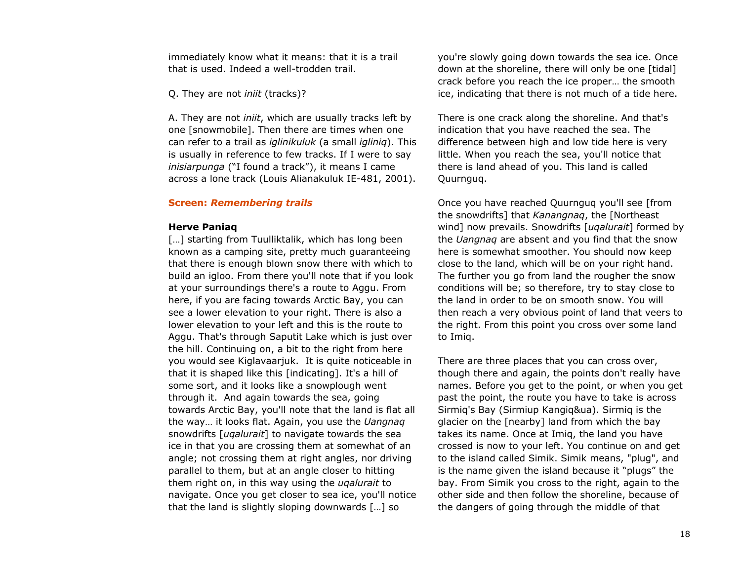immediately know what it means: that it is a trail that is used. Indeed a well-trodden trail.

Q. They are not *iniit* (tracks)?

A. They are not *iniit*, which are usually tracks left by one [snowmobile]. Then there are times when one can refer to a trail as *iglinikuluk* (a small *igliniq*). This is usually in reference to few tracks. If I were to say *inisiarpunga* ("I found a track"), it means I came across a lone track (Louis Alianakuluk IE-481, 2001).

#### **Screen:** *Remembering trails*

#### **Herve Paniaq**

[...] starting from Tuulliktalik, which has long been known as a camping site, pretty much guaranteeing that there is enough blown snow there with which to build an igloo. From there you'll note that if you look at your surroundings there's a route to Aggu. From here, if you are facing towards Arctic Bay, you can see a lower elevation to your right. There is also a lower elevation to your left and this is the route to Aggu. That's through Saputit Lake which is just over the hill. Continuing on, a bit to the right from here you would see Kiglavaarjuk. It is quite noticeable in that it is shaped like this [indicating]. It's a hill of some sort, and it looks like a snowplough went through it. And again towards the sea, going towards Arctic Bay, you'll note that the land is flat all the way… it looks flat. Again, you use the *Uangnaq* snowdrifts [*uqalurait*] to navigate towards the sea ice in that you are crossing them at somewhat of an angle; not crossing them at right angles, nor driving parallel to them, but at an angle closer to hitting them right on, in this way using the *uqalurait* to navigate. Once you get closer to sea ice, you'll notice that the land is slightly sloping downwards […] so

you're slowly going down towards the sea ice. Once down at the shoreline, there will only be one [tidal] crack before you reach the ice proper… the smooth ice, indicating that there is not much of a tide here.

There is one crack along the shoreline. And that's indication that you have reached the sea. The difference between high and low tide here is very little. When you reach the sea, you'll notice that there is land ahead of you. This land is called Quurnguq.

Once you have reached Quurnguq you'll see [from the snowdrifts] that *Kanangnaq*, the [Northeast wind] now prevails. Snowdrifts [*uqalurait*] formed by the *Uangnaq* are absent and you find that the snow here is somewhat smoother. You should now keep close to the land, which will be on your right hand. The further you go from land the rougher the snow conditions will be; so therefore, try to stay close to the land in order to be on smooth snow. You will then reach a very obvious point of land that veers to the right. From this point you cross over some land to Imiq.

There are three places that you can cross over, though there and again, the points don't really have names. Before you get to the point, or when you get past the point, the route you have to take is across Sirmiq's Bay (Sirmiup Kangiq&ua). Sirmiq is the glacier on the [nearby] land from which the bay takes its name. Once at Imiq, the land you have crossed is now to your left. You continue on and get to the island called Simik. Simik means, "plug", and is the name given the island because it "plugs" the bay. From Simik you cross to the right, again to the other side and then follow the shoreline, because of the dangers of going through the middle of that